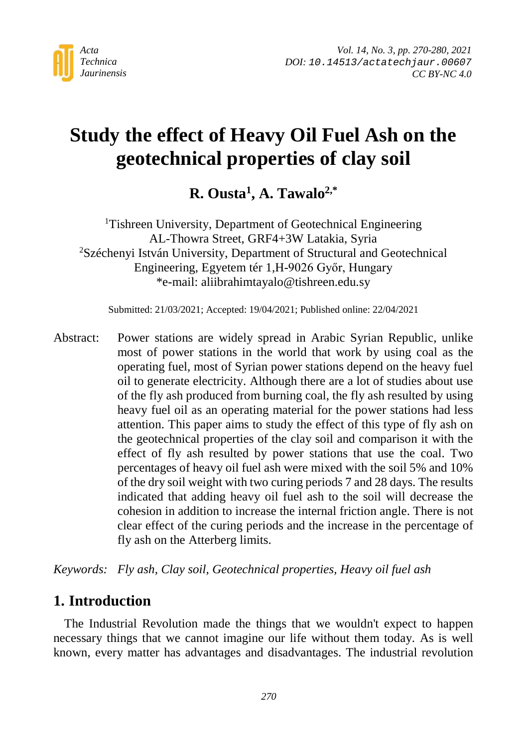

# **Study the effect of Heavy Oil Fuel Ash on the geotechnical properties of clay soil**

**R. Ousta1, A. Tawalo2,\***

<sup>1</sup>Tishreen University, Department of Geotechnical Engineering AL-Thowra Street, GRF4+3W Latakia, Syria 2 Széchenyi István University, Department of Structural and Geotechnical Engineering, Egyetem tér 1,H-9026 Győr, Hungary \*e-mail: aliibrahimtayalo@tishreen.edu.sy

Submitted: 21/03/2021; Accepted: 19/04/2021; Published online: 22/04/2021

Abstract: Power stations are widely spread in Arabic Syrian Republic, unlike most of power stations in the world that work by using coal as the operating fuel, most of Syrian power stations depend on the heavy fuel oil to generate electricity. Although there are a lot of studies about use of the fly ash produced from burning coal, the fly ash resulted by using heavy fuel oil as an operating material for the power stations had less attention. This paper aims to study the effect of this type of fly ash on the geotechnical properties of the clay soil and comparison it with the effect of fly ash resulted by power stations that use the coal. Two percentages of heavy oil fuel ash were mixed with the soil 5% and 10% of the dry soil weight with two curing periods 7 and 28 days. The results indicated that adding heavy oil fuel ash to the soil will decrease the cohesion in addition to increase the internal friction angle. There is not clear effect of the curing periods and the increase in the percentage of fly ash on the Atterberg limits.

*Keywords: Fly ash, Clay soil, Geotechnical properties, Heavy oil fuel ash*

#### **1. Introduction**

The Industrial Revolution made the things that we wouldn't expect to happen necessary things that we cannot imagine our life without them today. As is well known, every matter has advantages and disadvantages. The industrial revolution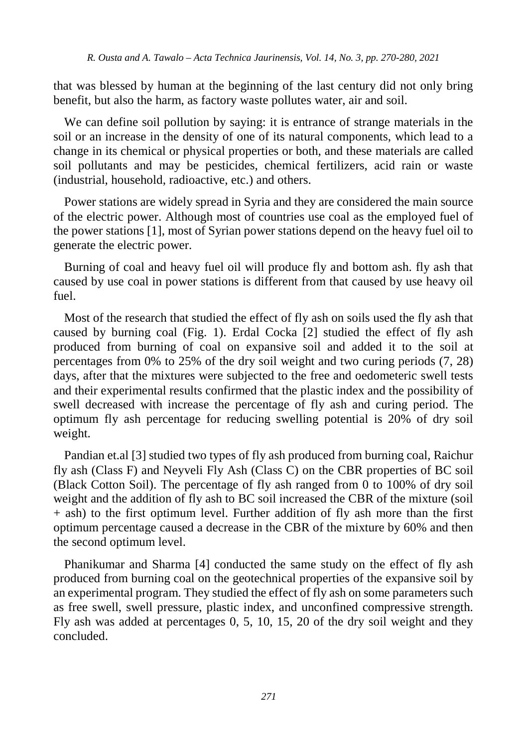that was blessed by human at the beginning of the last century did not only bring benefit, but also the harm, as factory waste pollutes water, air and soil.

We can define soil pollution by saying: it is entrance of strange materials in the soil or an increase in the density of one of its natural components, which lead to a change in its chemical or physical properties or both, and these materials are called soil pollutants and may be pesticides, chemical fertilizers, acid rain or waste (industrial, household, radioactive, etc.) and others.

Power stations are widely spread in Syria and they are considered the main source of the electric power. Although most of countries use coal as the employed fuel of the power stations [1], most of Syrian power stations depend on the heavy fuel oil to generate the electric power.

Burning of coal and heavy fuel oil will produce fly and bottom ash. fly ash that caused by use coal in power stations is different from that caused by use heavy oil fuel.

Most of the research that studied the effect of fly ash on soils used the fly ash that caused by burning coal (Fig. 1). Erdal Cocka [2] studied the effect of fly ash produced from burning of coal on expansive soil and added it to the soil at percentages from 0% to 25% of the dry soil weight and two curing periods (7, 28) days, after that the mixtures were subjected to the free and oedometeric swell tests and their experimental results confirmed that the plastic index and the possibility of swell decreased with increase the percentage of fly ash and curing period. The optimum fly ash percentage for reducing swelling potential is 20% of dry soil weight.

Pandian et.al [3] studied two types of fly ash produced from burning coal, Raichur fly ash (Class F) and Neyveli Fly Ash (Class C) on the CBR properties of BC soil (Black Cotton Soil). The percentage of fly ash ranged from 0 to 100% of dry soil weight and the addition of fly ash to BC soil increased the CBR of the mixture (soil + ash) to the first optimum level. Further addition of fly ash more than the first optimum percentage caused a decrease in the CBR of the mixture by 60% and then the second optimum level.

Phanikumar and Sharma [4] conducted the same study on the effect of fly ash produced from burning coal on the geotechnical properties of the expansive soil by an experimental program. They studied the effect of fly ash on some parameters such as free swell, swell pressure, plastic index, and unconfined compressive strength. Fly ash was added at percentages 0, 5, 10, 15, 20 of the dry soil weight and they concluded.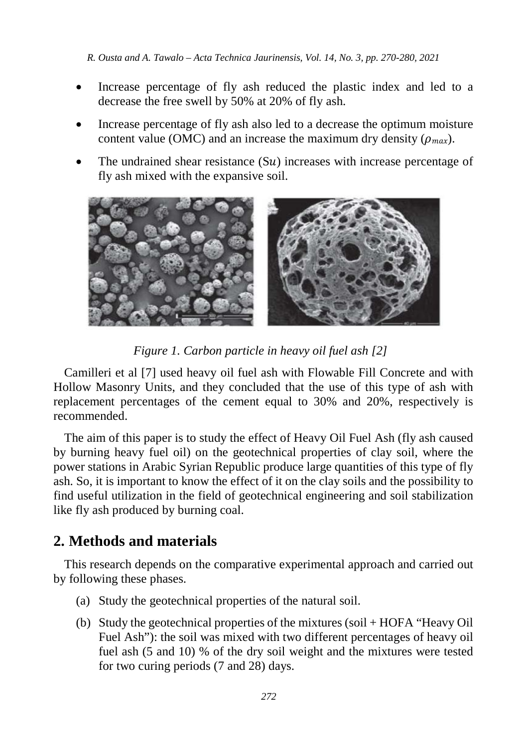- Increase percentage of fly ash reduced the plastic index and led to a decrease the free swell by 50% at 20% of fly ash.
- Increase percentage of fly ash also led to a decrease the optimum moisture content value (OMC) and an increase the maximum dry density ( $\rho_{max}$ ).
- The undrained shear resistance  $(Su)$  increases with increase percentage of fly ash mixed with the expansive soil.



*Figure 1. Carbon particle in heavy oil fuel ash [2]*

Camilleri et al [7] used heavy oil fuel ash with Flowable Fill Concrete and with Hollow Masonry Units, and they concluded that the use of this type of ash with replacement percentages of the cement equal to 30% and 20%, respectively is recommended.

The aim of this paper is to study the effect of Heavy Oil Fuel Ash (fly ash caused by burning heavy fuel oil) on the geotechnical properties of clay soil, where the power stations in Arabic Syrian Republic produce large quantities of this type of fly ash. So, it is important to know the effect of it on the clay soils and the possibility to find useful utilization in the field of geotechnical engineering and soil stabilization like fly ash produced by burning coal.

## **2. Methods and materials**

This research depends on the comparative experimental approach and carried out by following these phases.

- (a) Study the geotechnical properties of the natural soil.
- (b) Study the geotechnical properties of the mixtures (soil + HOFA "Heavy Oil Fuel Ash"): the soil was mixed with two different percentages of heavy oil fuel ash (5 and 10) % of the dry soil weight and the mixtures were tested for two curing periods (7 and 28) days.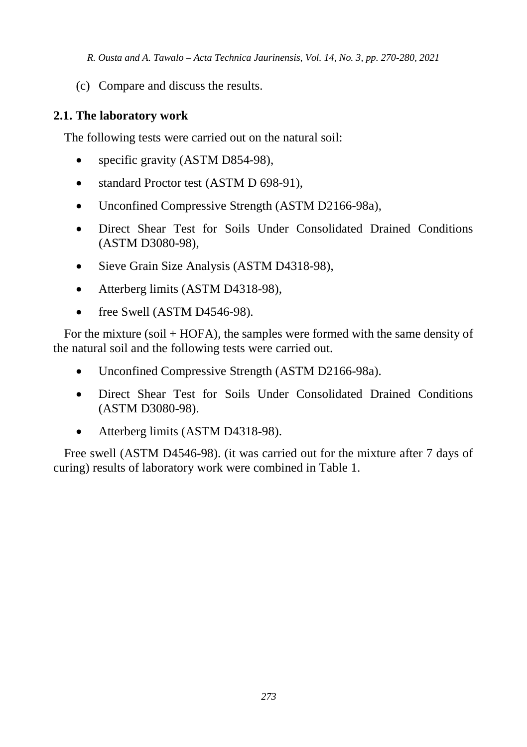(c) Compare and discuss the results.

#### **2.1. The laboratory work**

The following tests were carried out on the natural soil:

- specific gravity (ASTM D854-98),
- standard Proctor test (ASTM D 698-91),
- Unconfined Compressive Strength (ASTM D2166-98a),
- Direct Shear Test for Soils Under Consolidated Drained Conditions (ASTM D3080-98),
- Sieve Grain Size Analysis (ASTM D4318-98),
- Atterberg limits (ASTM D4318-98),
- free Swell (ASTM D4546-98).

For the mixture (soil + HOFA), the samples were formed with the same density of the natural soil and the following tests were carried out.

- Unconfined Compressive Strength (ASTM D2166-98a).
- Direct Shear Test for Soils Under Consolidated Drained Conditions (ASTM D3080-98).
- Atterberg limits (ASTM D4318-98).

Free swell (ASTM D4546-98). (it was carried out for the mixture after 7 days of curing) results of laboratory work were combined in Table 1.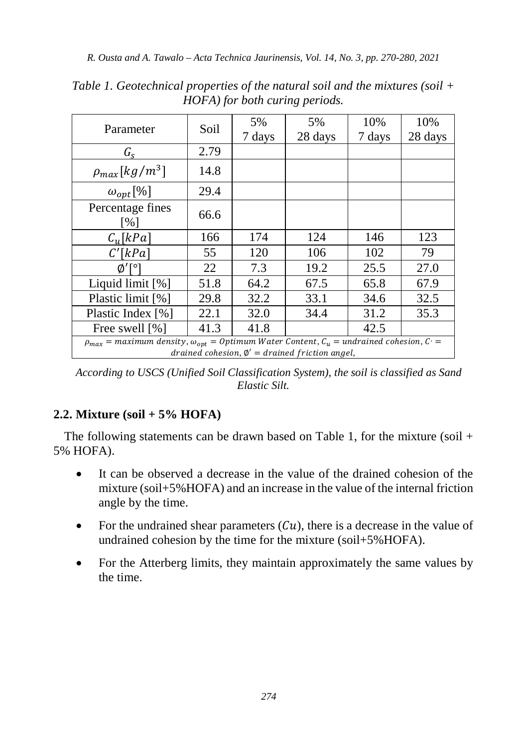| Parameter                                                                                                                                                      | Soil | 5%<br>7 days | 5%<br>28 days | 10%<br>7 days | 10%<br>28 days |
|----------------------------------------------------------------------------------------------------------------------------------------------------------------|------|--------------|---------------|---------------|----------------|
| $G_{S}$                                                                                                                                                        | 2.79 |              |               |               |                |
| $\rho_{max}[kg/m^3]$                                                                                                                                           | 14.8 |              |               |               |                |
| $\omega_{opt}$ [%]                                                                                                                                             | 29.4 |              |               |               |                |
| Percentage fines<br>[%]                                                                                                                                        | 66.6 |              |               |               |                |
| $C_{\nu}$ [kPa]                                                                                                                                                | 166  | 174          | 124           | 146           | 123            |
| C'[kPa]                                                                                                                                                        | 55   | 120          | 106           | 102           | 79             |
|                                                                                                                                                                | 22   | 7.3          | 19.2          | 25.5          | 27.0           |
| Liquid limit $[\%]$                                                                                                                                            | 51.8 | 64.2         | 67.5          | 65.8          | 67.9           |
| Plastic limit [%]                                                                                                                                              | 29.8 | 32.2         | 33.1          | 34.6          | 32.5           |
| Plastic Index [%]                                                                                                                                              | 22.1 | 32.0         | 34.4          | 31.2          | 35.3           |
| Free swell [%]                                                                                                                                                 | 41.3 | 41.8         |               | 42.5          |                |
| $\rho_{max}$ = maximum density, $\omega_{opt}$ = Optimum Water Content, $C_u$ = undrained cohesion, C =<br>drained cohesion, $\phi' =$ drained friction angel, |      |              |               |               |                |

*Table 1. Geotechnical properties of the natural soil and the mixtures (soil + HOFA) for both curing periods.*

*According to USCS (Unified Soil Classification System), the soil is classified as Sand Elastic Silt.*

#### **2.2. Mixture (soil + 5% HOFA)**

The following statements can be drawn based on Table 1, for the mixture (soil  $+$ 5% HOFA).

- It can be observed a decrease in the value of the drained cohesion of the mixture (soil+5%HOFA) and an increase in the value of the internal friction angle by the time.
- For the undrained shear parameters  $(Cu)$ , there is a decrease in the value of undrained cohesion by the time for the mixture (soil+5%HOFA).
- For the Atterberg limits, they maintain approximately the same values by the time.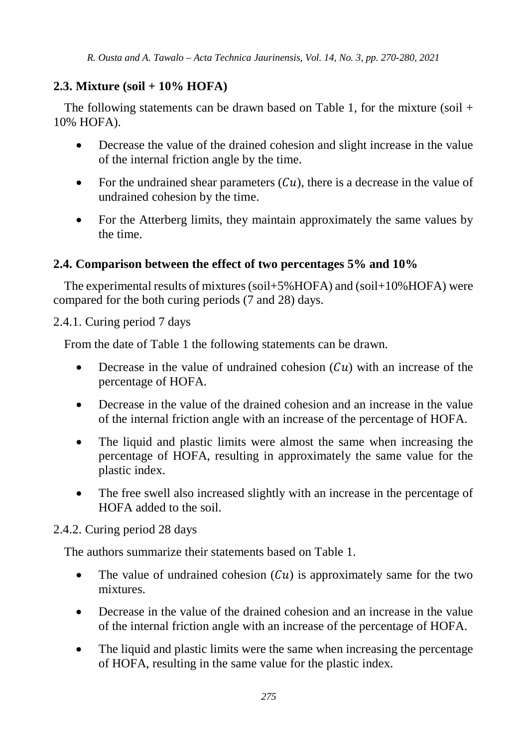#### **2.3. Mixture (soil + 10% HOFA)**

The following statements can be drawn based on Table 1, for the mixture (soil  $+$ 10% HOFA).

- Decrease the value of the drained cohesion and slight increase in the value of the internal friction angle by the time.
- For the undrained shear parameters  $(Cu)$ , there is a decrease in the value of undrained cohesion by the time.
- For the Atterberg limits, they maintain approximately the same values by the time.

#### **2.4. Comparison between the effect of two percentages 5% and 10%**

The experimental results of mixtures (soil+5%HOFA) and (soil+10%HOFA) were compared for the both curing periods (7 and 28) days.

2.4.1. Curing period 7 days

From the date of Table 1 the following statements can be drawn.

- Decrease in the value of undrained cohesion  $(Cu)$  with an increase of the percentage of HOFA.
- Decrease in the value of the drained cohesion and an increase in the value of the internal friction angle with an increase of the percentage of HOFA.
- The liquid and plastic limits were almost the same when increasing the percentage of HOFA, resulting in approximately the same value for the plastic index.
- The free swell also increased slightly with an increase in the percentage of HOFA added to the soil.

#### 2.4.2. Curing period 28 days

The authors summarize their statements based on Table 1.

- The value of undrained cohesion  $(Cu)$  is approximately same for the two mixtures.
- Decrease in the value of the drained cohesion and an increase in the value of the internal friction angle with an increase of the percentage of HOFA.
- The liquid and plastic limits were the same when increasing the percentage of HOFA, resulting in the same value for the plastic index.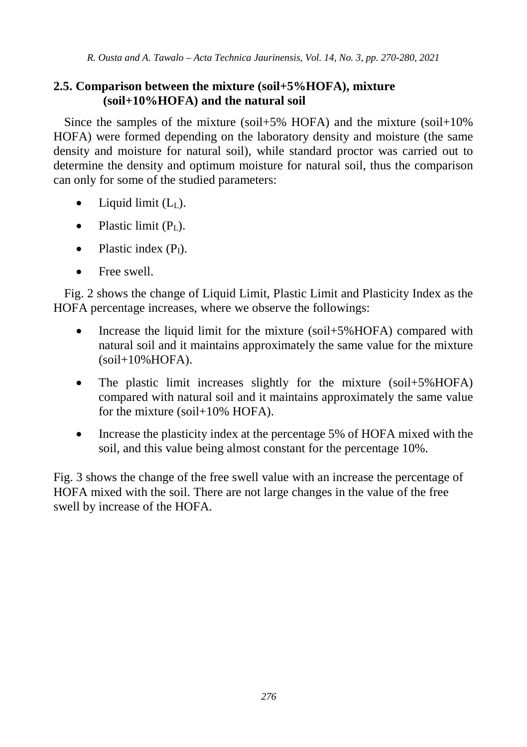#### **2.5. Comparison between the mixture (soil+5%HOFA), mixture (soil+10%HOFA) and the natural soil**

Since the samples of the mixture (soil+5% HOFA) and the mixture (soil+10% HOFA) were formed depending on the laboratory density and moisture (the same density and moisture for natural soil), while standard proctor was carried out to determine the density and optimum moisture for natural soil, thus the comparison can only for some of the studied parameters:

- Liquid limit  $(L<sub>L</sub>)$ .
- Plastic limit  $(P<sub>L</sub>)$ .
- Plastic index  $(P<sub>I</sub>)$ .
- Free swell

Fig. 2 shows the change of Liquid Limit, Plastic Limit and Plasticity Index as the HOFA percentage increases, where we observe the followings:

- Increase the liquid limit for the mixture (soil+5%HOFA) compared with natural soil and it maintains approximately the same value for the mixture  $(soil+10%HOFA).$
- The plastic limit increases slightly for the mixture (soil+5%HOFA) compared with natural soil and it maintains approximately the same value for the mixture (soil+10% HOFA).
- Increase the plasticity index at the percentage 5% of HOFA mixed with the soil, and this value being almost constant for the percentage 10%.

Fig. 3 shows the change of the free swell value with an increase the percentage of HOFA mixed with the soil. There are not large changes in the value of the free swell by increase of the HOFA.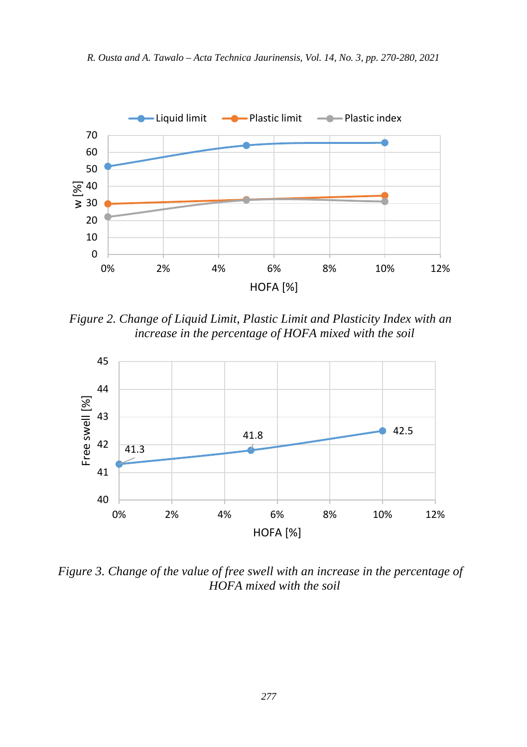

*R. Ousta and A. Tawalo – Acta Technica Jaurinensis, Vol. 14, No. 3, pp. 270-280, 2021*

*Figure 2. Change of Liquid Limit, Plastic Limit and Plasticity Index with an increase in the percentage of HOFA mixed with the soil*

0% 2% 4% 6% 8% 10% 12% HOFA [%]



*Figure 3. Change of the value of free swell with an increase in the percentage of HOFA mixed with the soil*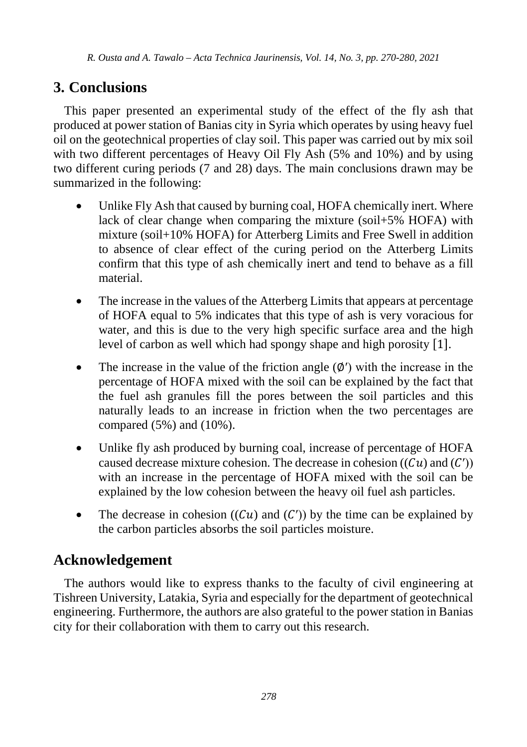# **3. Conclusions**

This paper presented an experimental study of the effect of the fly ash that produced at power station of Banias city in Syria which operates by using heavy fuel oil on the geotechnical properties of clay soil. This paper was carried out by mix soil with two different percentages of Heavy Oil Fly Ash (5% and 10%) and by using two different curing periods (7 and 28) days. The main conclusions drawn may be summarized in the following:

- Unlike Fly Ash that caused by burning coal, HOFA chemically inert. Where lack of clear change when comparing the mixture (soil+5% HOFA) with mixture (soil+10% HOFA) for Atterberg Limits and Free Swell in addition to absence of clear effect of the curing period on the Atterberg Limits confirm that this type of ash chemically inert and tend to behave as a fill material.
- The increase in the values of the Atterberg Limits that appears at percentage of HOFA equal to 5% indicates that this type of ash is very voracious for water, and this is due to the very high specific surface area and the high level of carbon as well which had spongy shape and high porosity [1].
- The increase in the value of the friction angle (∅′) with the increase in the percentage of HOFA mixed with the soil can be explained by the fact that the fuel ash granules fill the pores between the soil particles and this naturally leads to an increase in friction when the two percentages are compared (5%) and (10%).
- Unlike fly ash produced by burning coal, increase of percentage of HOFA caused decrease mixture cohesion. The decrease in cohesion  $((Cu)$  and  $(C')$ ) with an increase in the percentage of HOFA mixed with the soil can be explained by the low cohesion between the heavy oil fuel ash particles.
- The decrease in cohesion  $((Cu)$  and  $(C')$ ) by the time can be explained by the carbon particles absorbs the soil particles moisture.

# **Acknowledgement**

The authors would like to express thanks to the faculty of civil engineering at Tishreen University, Latakia, Syria and especially for the department of geotechnical engineering. Furthermore, the authors are also grateful to the power station in Banias city for their collaboration with them to carry out this research.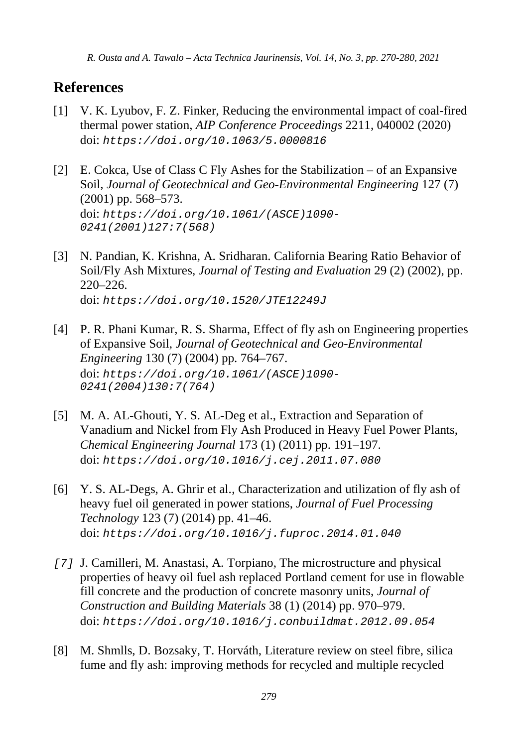### **References**

- [1] V. K. Lyubov, F. Z. Finker, Reducing the environmental impact of coal-fired thermal power station, *AIP Conference Proceedings* 2211, 040002 (2020) doi: *<https://doi.org/10.1063/5.0000816>*
- [2] E. Cokca, Use of Class C Fly Ashes for the Stabilization of an Expansive Soil, *Journal of Geotechnical and Geo-Environmental Engineering* 127 (7) (2001) pp. 568–573. doi: *[https://doi.org/10.1061/\(ASCE\)1090-](https://doi.org/10.1061/(ASCE)1090-0241(2001)127:7(568)) [0241\(2001\)127:7\(568\)](https://doi.org/10.1061/(ASCE)1090-0241(2001)127:7(568))*
- [3] N. Pandian, K. Krishna, A. Sridharan. California Bearing Ratio Behavior of Soil/Fly Ash Mixtures, *Journal of Testing and Evaluation* 29 (2) (2002), pp. 220–226. doi: *<https://doi.org/10.1520/JTE12249J>*
- [4] P. R. Phani Kumar, R. S. Sharma, Effect of fly ash on Engineering properties of Expansive Soil, *Journal of Geotechnical and Geo-Environmental Engineering* 130 (7) (2004) pp. 764–767. doi: *[https://doi.org/10.1061/\(ASCE\)1090-](https://doi.org/10.1061/(ASCE)1090-0241(2004)130:7(764)) [0241\(2004\)130:7\(764\)](https://doi.org/10.1061/(ASCE)1090-0241(2004)130:7(764))*
- [5] M. A. AL-Ghouti, Y. S. AL-Deg et al., Extraction and Separation of Vanadium and Nickel from Fly Ash Produced in Heavy Fuel Power Plants, *Chemical Engineering Journal* 173 (1) (2011) pp. 191–197. doi: *<https://doi.org/10.1016/j.cej.2011.07.080>*
- [6] Y. S. AL-Degs, A. Ghrir et al., Characterization and utilization of fly ash of heavy fuel oil generated in power stations, *Journal of Fuel Processing Technology* 123 (7) (2014) pp. 41–46. doi: *<https://doi.org/10.1016/j.fuproc.2014.01.040>*
- *[7]* J. Camilleri, M. Anastasi, A. Torpiano, The microstructure and physical properties of heavy oil fuel ash replaced Portland cement for use in flowable fill concrete and the production of concrete masonry units, *Journal of Construction and Building Materials* 38 (1) (2014) pp. 970–979. doi: *<https://doi.org/10.1016/j.conbuildmat.2012.09.054>*
- [8] M. Shmlls, D. Bozsaky, T. Horváth, Literature review on steel fibre, silica fume and fly ash: improving methods for recycled and multiple recycled